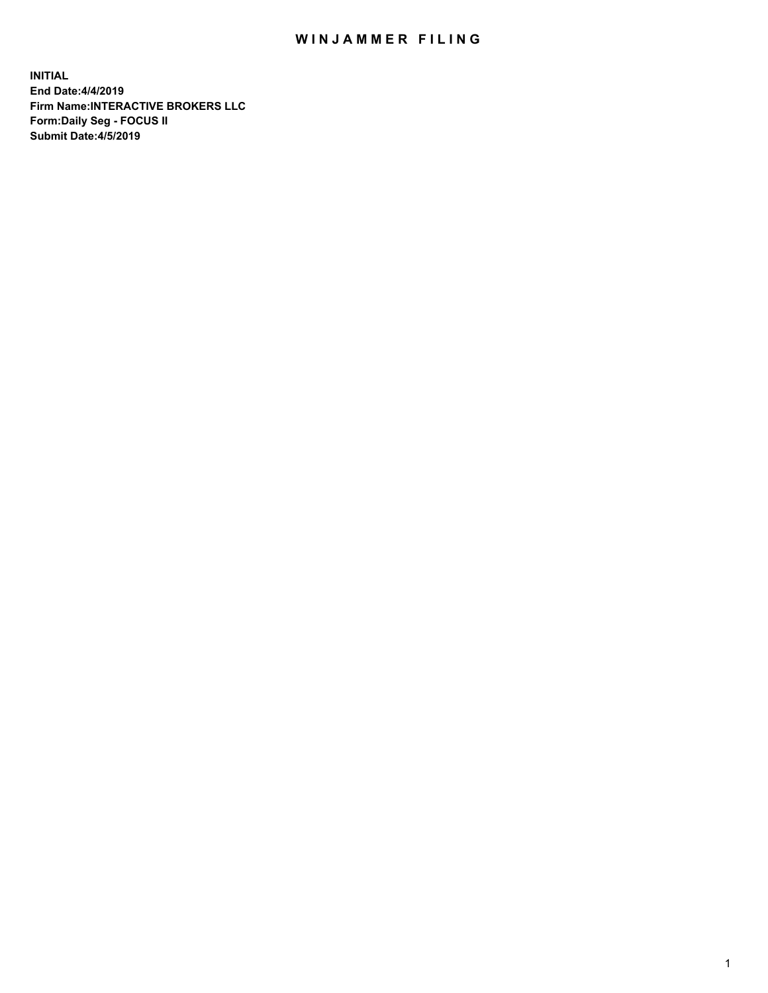## WIN JAMMER FILING

**INITIAL End Date:4/4/2019 Firm Name:INTERACTIVE BROKERS LLC Form:Daily Seg - FOCUS II Submit Date:4/5/2019**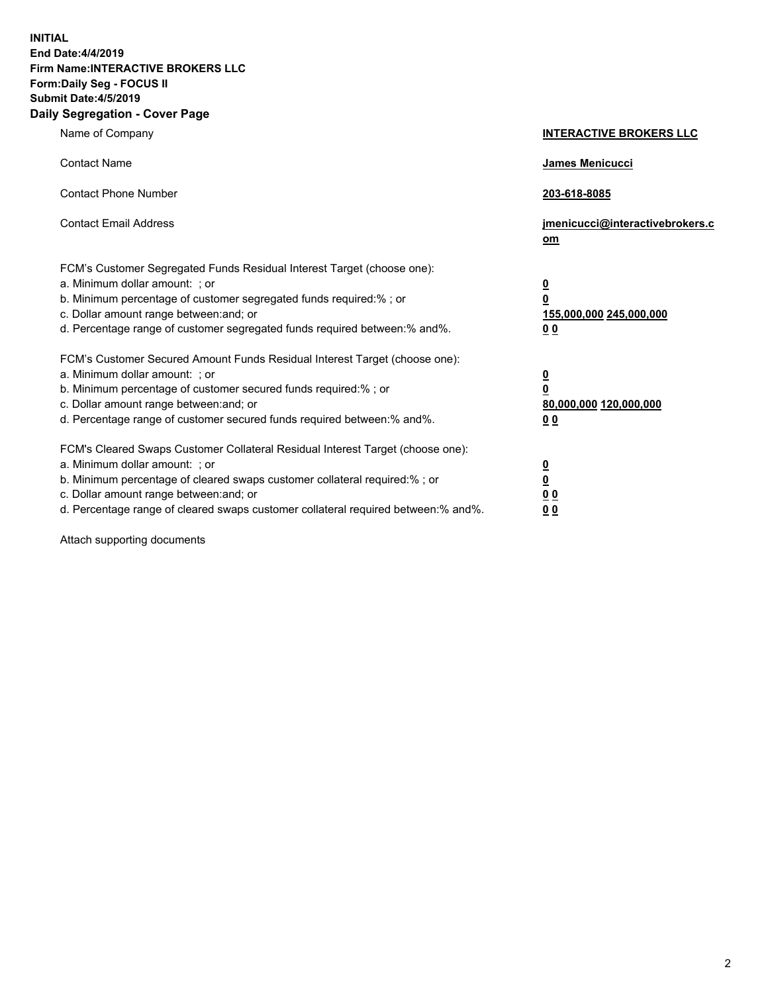**INITIAL End Date:4/4/2019 Firm Name:INTERACTIVE BROKERS LLC Form:Daily Seg - FOCUS II Submit Date:4/5/2019 Daily Segregation - Cover Page**

| Name of Company                                                                                                                                                                                                                                                                                                                | <b>INTERACTIVE BROKERS LLC</b>                                                      |
|--------------------------------------------------------------------------------------------------------------------------------------------------------------------------------------------------------------------------------------------------------------------------------------------------------------------------------|-------------------------------------------------------------------------------------|
| <b>Contact Name</b>                                                                                                                                                                                                                                                                                                            | James Menicucci                                                                     |
| <b>Contact Phone Number</b>                                                                                                                                                                                                                                                                                                    | 203-618-8085                                                                        |
| <b>Contact Email Address</b>                                                                                                                                                                                                                                                                                                   | jmenicucci@interactivebrokers.c<br>om                                               |
| FCM's Customer Segregated Funds Residual Interest Target (choose one):<br>a. Minimum dollar amount: ; or<br>b. Minimum percentage of customer segregated funds required:% ; or<br>c. Dollar amount range between: and; or<br>d. Percentage range of customer segregated funds required between:% and%.                         | $\overline{\mathbf{0}}$<br>$\overline{\mathbf{0}}$<br>155,000,000 245,000,000<br>00 |
| FCM's Customer Secured Amount Funds Residual Interest Target (choose one):<br>a. Minimum dollar amount: ; or<br>b. Minimum percentage of customer secured funds required:% ; or<br>c. Dollar amount range between: and; or<br>d. Percentage range of customer secured funds required between:% and%.                           | $\overline{\mathbf{0}}$<br>$\pmb{0}$<br>80,000,000 120,000,000<br>00                |
| FCM's Cleared Swaps Customer Collateral Residual Interest Target (choose one):<br>a. Minimum dollar amount: ; or<br>b. Minimum percentage of cleared swaps customer collateral required:% ; or<br>c. Dollar amount range between: and; or<br>d. Percentage range of cleared swaps customer collateral required between:% and%. | $\overline{\mathbf{0}}$<br>$\underline{\mathbf{0}}$<br>0 <sub>0</sub><br>00         |

Attach supporting documents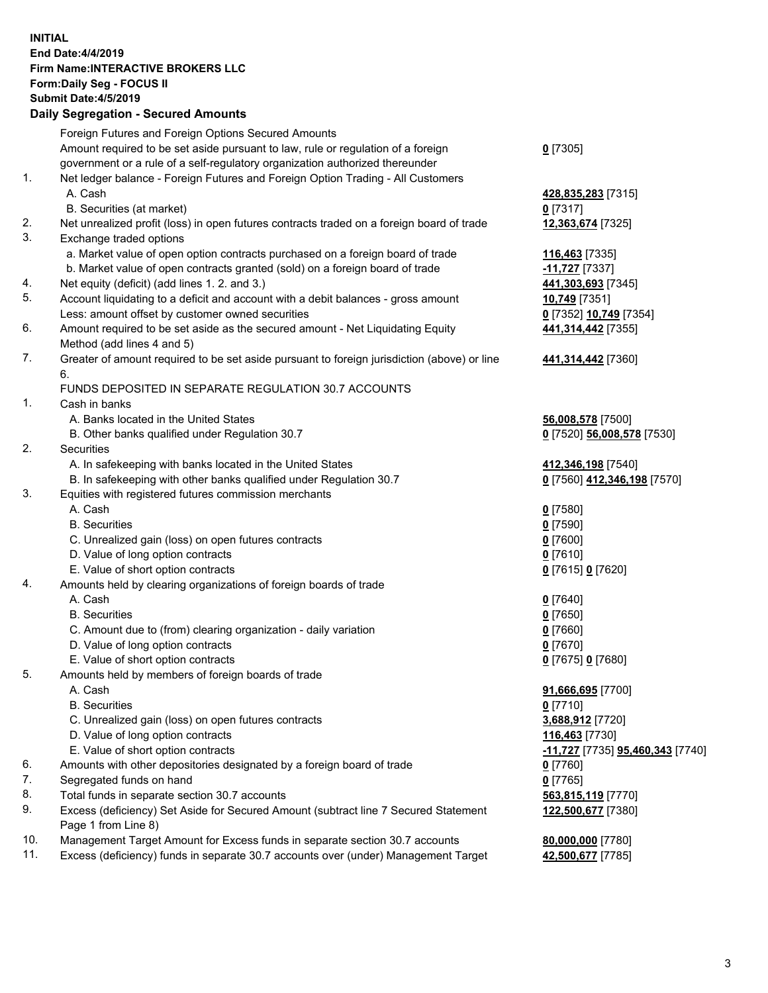## **INITIAL End Date:4/4/2019 Firm Name:INTERACTIVE BROKERS LLC Form:Daily Seg - FOCUS II Submit Date:4/5/2019 Daily Segregation - Secured Amounts**

|                | Dany Ocgregation - Occarea Anioants                                                                                                                               |                                                      |
|----------------|-------------------------------------------------------------------------------------------------------------------------------------------------------------------|------------------------------------------------------|
|                | Foreign Futures and Foreign Options Secured Amounts                                                                                                               |                                                      |
|                | Amount required to be set aside pursuant to law, rule or regulation of a foreign                                                                                  | $0$ [7305]                                           |
|                | government or a rule of a self-regulatory organization authorized thereunder                                                                                      |                                                      |
| 1.             | Net ledger balance - Foreign Futures and Foreign Option Trading - All Customers                                                                                   |                                                      |
|                | A. Cash                                                                                                                                                           | 428,835,283 [7315]                                   |
|                | B. Securities (at market)                                                                                                                                         | $0$ [7317]                                           |
| 2.             | Net unrealized profit (loss) in open futures contracts traded on a foreign board of trade                                                                         | 12,363,674 [7325]                                    |
| 3.             | Exchange traded options                                                                                                                                           |                                                      |
|                | a. Market value of open option contracts purchased on a foreign board of trade                                                                                    | 116,463 [7335]                                       |
|                | b. Market value of open contracts granted (sold) on a foreign board of trade                                                                                      | -11,727 <sup>[7337]</sup>                            |
| 4.             | Net equity (deficit) (add lines 1. 2. and 3.)                                                                                                                     | 441,303,693 [7345]                                   |
| 5.             | Account liquidating to a deficit and account with a debit balances - gross amount                                                                                 | 10,749 [7351]                                        |
|                | Less: amount offset by customer owned securities                                                                                                                  | 0 [7352] 10,749 [7354]                               |
| 6.             | Amount required to be set aside as the secured amount - Net Liquidating Equity                                                                                    | 441,314,442 [7355]                                   |
|                | Method (add lines 4 and 5)                                                                                                                                        |                                                      |
| 7.             | Greater of amount required to be set aside pursuant to foreign jurisdiction (above) or line                                                                       | 441,314,442 [7360]                                   |
|                | 6.                                                                                                                                                                |                                                      |
|                | FUNDS DEPOSITED IN SEPARATE REGULATION 30.7 ACCOUNTS                                                                                                              |                                                      |
| $\mathbf{1}$ . | Cash in banks                                                                                                                                                     |                                                      |
|                | A. Banks located in the United States                                                                                                                             | 56,008,578 [7500]                                    |
|                | B. Other banks qualified under Regulation 30.7                                                                                                                    | 0 [7520] 56,008,578 [7530]                           |
| 2.             | Securities                                                                                                                                                        |                                                      |
|                | A. In safekeeping with banks located in the United States                                                                                                         | 412,346,198 [7540]                                   |
|                | B. In safekeeping with other banks qualified under Regulation 30.7                                                                                                | 0 [7560] 412,346,198 [7570]                          |
| 3.             | Equities with registered futures commission merchants                                                                                                             |                                                      |
|                | A. Cash                                                                                                                                                           | $0$ [7580]                                           |
|                | <b>B.</b> Securities                                                                                                                                              | $0$ [7590]                                           |
|                | C. Unrealized gain (loss) on open futures contracts                                                                                                               | $0$ [7600]                                           |
|                | D. Value of long option contracts                                                                                                                                 | $0$ [7610]                                           |
|                | E. Value of short option contracts                                                                                                                                | 0 [7615] 0 [7620]                                    |
| 4.             | Amounts held by clearing organizations of foreign boards of trade                                                                                                 |                                                      |
|                | A. Cash                                                                                                                                                           | $0$ [7640]                                           |
|                | <b>B.</b> Securities                                                                                                                                              | $0$ [7650]                                           |
|                | C. Amount due to (from) clearing organization - daily variation                                                                                                   | $0$ [7660]                                           |
|                | D. Value of long option contracts                                                                                                                                 | $0$ [7670]                                           |
|                | E. Value of short option contracts                                                                                                                                | 0 [7675] 0 [7680]                                    |
| 5.             | Amounts held by members of foreign boards of trade                                                                                                                |                                                      |
|                | A. Cash                                                                                                                                                           | 91,666,695 [7700]                                    |
|                | <b>B.</b> Securities                                                                                                                                              | $0$ [7710]                                           |
|                | C. Unrealized gain (loss) on open futures contracts                                                                                                               | 3,688,912 [7720]                                     |
|                | D. Value of long option contracts                                                                                                                                 | 116,463 [7730]                                       |
|                | E. Value of short option contracts                                                                                                                                | <mark>-11,727</mark> [7735] <b>95,460,343</b> [7740] |
| 6.             | Amounts with other depositories designated by a foreign board of trade                                                                                            | $0$ [7760]                                           |
| 7.             | Segregated funds on hand                                                                                                                                          | $0$ [7765]                                           |
| 8.             | Total funds in separate section 30.7 accounts                                                                                                                     | 563,815,119 [7770]                                   |
| 9.             | Excess (deficiency) Set Aside for Secured Amount (subtract line 7 Secured Statement                                                                               | 122,500,677 [7380]                                   |
| 10.            | Page 1 from Line 8)                                                                                                                                               |                                                      |
| 11.            | Management Target Amount for Excess funds in separate section 30.7 accounts<br>Excess (deficiency) funds in separate 30.7 accounts over (under) Management Target | 80,000,000 [7780]<br>42,500,677 [7785]               |
|                |                                                                                                                                                                   |                                                      |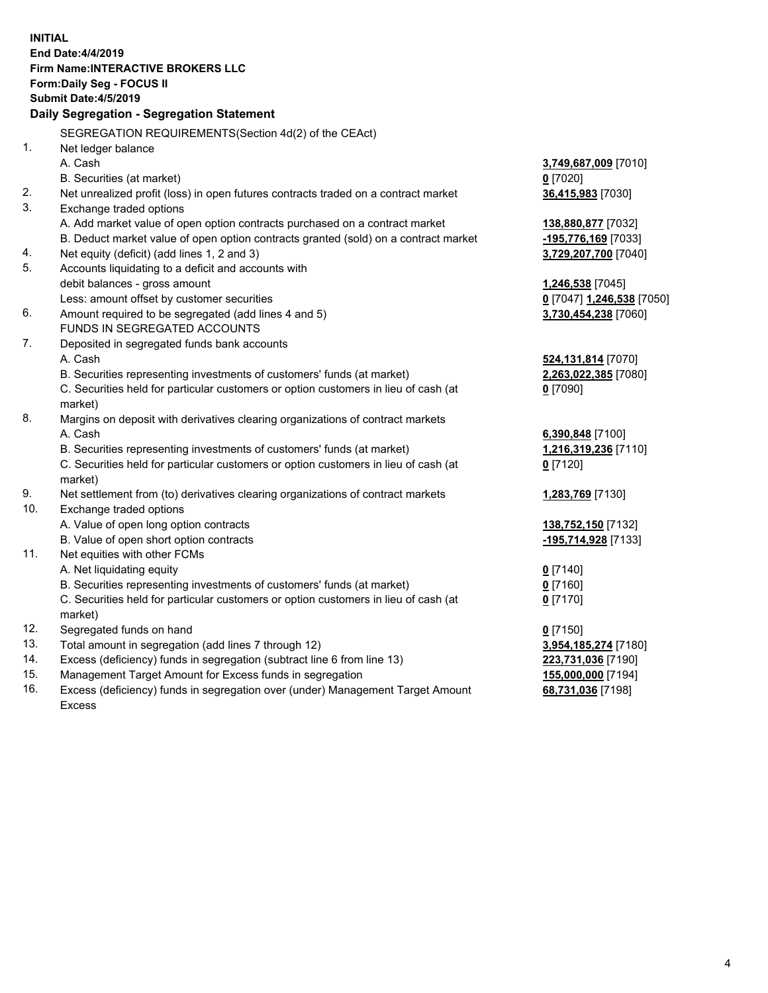| <b>INITIAL</b> |                                                                                     |                           |
|----------------|-------------------------------------------------------------------------------------|---------------------------|
|                | End Date: 4/4/2019                                                                  |                           |
|                | Firm Name: INTERACTIVE BROKERS LLC                                                  |                           |
|                | Form: Daily Seg - FOCUS II                                                          |                           |
|                | <b>Submit Date: 4/5/2019</b>                                                        |                           |
|                | Daily Segregation - Segregation Statement                                           |                           |
|                | SEGREGATION REQUIREMENTS(Section 4d(2) of the CEAct)                                |                           |
| 1.             | Net ledger balance                                                                  |                           |
|                | A. Cash                                                                             | 3,749,687,009 [7010]      |
|                | B. Securities (at market)                                                           | $0$ [7020]                |
| 2.             | Net unrealized profit (loss) in open futures contracts traded on a contract market  | 36,415,983 [7030]         |
| 3.             | Exchange traded options                                                             |                           |
|                | A. Add market value of open option contracts purchased on a contract market         | 138,880,877 [7032]        |
|                | B. Deduct market value of open option contracts granted (sold) on a contract market | -195,776,169 [7033]       |
| 4.             | Net equity (deficit) (add lines 1, 2 and 3)                                         | 3,729,207,700 [7040]      |
| 5.             | Accounts liquidating to a deficit and accounts with                                 |                           |
|                | debit balances - gross amount                                                       | 1,246,538 [7045]          |
|                | Less: amount offset by customer securities                                          | 0 [7047] 1,246,538 [7050] |
| 6.             | Amount required to be segregated (add lines 4 and 5)                                | 3,730,454,238 [7060]      |
|                | FUNDS IN SEGREGATED ACCOUNTS                                                        |                           |
| 7.             | Deposited in segregated funds bank accounts                                         |                           |
|                | A. Cash                                                                             | 524,131,814 [7070]        |
|                | B. Securities representing investments of customers' funds (at market)              | 2,263,022,385 [7080]      |
|                | C. Securities held for particular customers or option customers in lieu of cash (at | $0$ [7090]                |
|                | market)                                                                             |                           |
| 8.             | Margins on deposit with derivatives clearing organizations of contract markets      |                           |
|                | A. Cash                                                                             | 6,390,848 [7100]          |
|                | B. Securities representing investments of customers' funds (at market)              | 1,216,319,236 [7110]      |
|                | C. Securities held for particular customers or option customers in lieu of cash (at | $0$ [7120]                |
|                | market)                                                                             |                           |
| 9.             | Net settlement from (to) derivatives clearing organizations of contract markets     | 1,283,769 [7130]          |
| 10.            | Exchange traded options                                                             |                           |
|                | A. Value of open long option contracts                                              | 138,752,150 [7132]        |
|                | B. Value of open short option contracts                                             | -195,714,928 [7133]       |
| 11.            | Net equities with other FCMs                                                        |                           |
|                | A. Net liquidating equity                                                           | $0$ [7140]                |
|                | B. Securities representing investments of customers' funds (at market)              | $0$ [7160]                |
|                | C. Securities held for particular customers or option customers in lieu of cash (at | $0$ [7170]                |
|                | market)                                                                             |                           |
| 12.            | Segregated funds on hand                                                            | $0$ [7150]                |
| 13.            | Total amount in segregation (add lines 7 through 12)                                | 3,954,185,274 [7180]      |
| 14.            | Excess (deficiency) funds in segregation (subtract line 6 from line 13)             | 223,731,036 [7190]        |
| 15.            | Management Target Amount for Excess funds in segregation                            | 155,000,000 [7194]        |
| 16.            | Excess (deficiency) funds in segregation over (under) Management Target Amount      | 68,731,036 [7198]         |

Excess